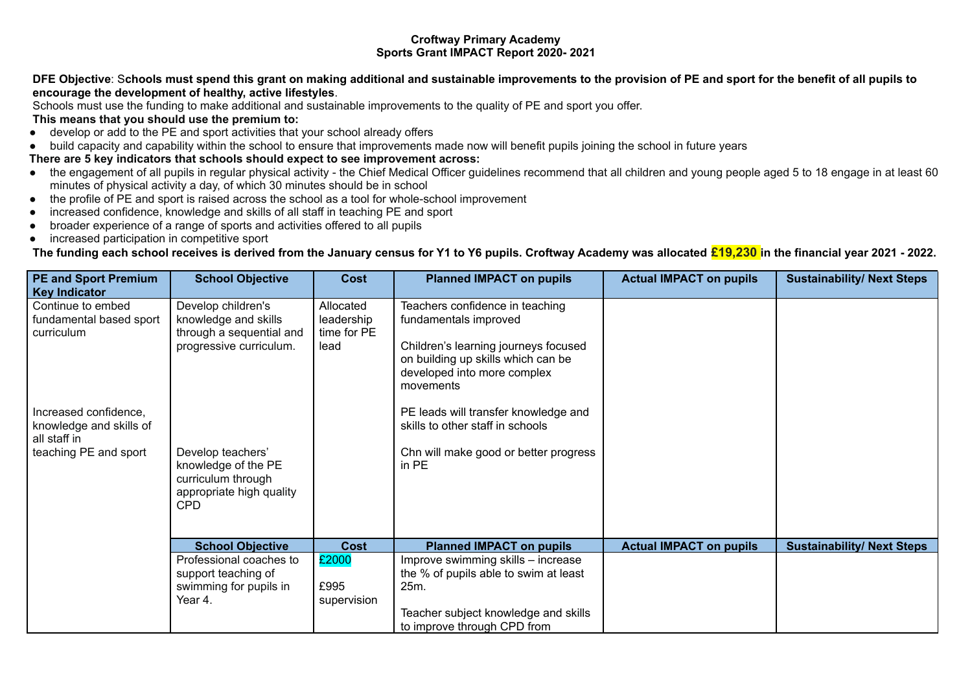## **Croftway Primary Academy Sports Grant IMPACT Report 2020- 2021**

## DFE Objective: Schools must spend this grant on making additional and sustainable improvements to the provision of PE and sport for the benefit of all pupils to **encourage the development of healthy, active lifestyles**.

Schools must use the funding to make additional and sustainable improvements to the quality of PE and sport you offer.

## **This means that you should use the premium to:**

- develop or add to the PE and sport activities that your school already offers
- build capacity and capability within the school to ensure that improvements made now will benefit pupils joining the school in future years

## **There are 5 key indicators that schools should expect to see improvement across:**

- the engagement of all pupils in regular physical activity the Chief Medical Officer guidelines recommend that all children and young people aged 5 to 18 engage in at least 60 minutes of physical activity a day, of which 30 minutes should be in school
- the profile of PE and sport is raised across the school as a tool for whole-school improvement
- increased confidence, knowledge and skills of all staff in teaching PE and sport
- broader experience of a range of sports and activities offered to all pupils
- increased participation in competitive sport

The funding each school receives is derived from the January census for Y1 to Y6 pupils. Croftway Academy was allocated  $\epsilon$ 19,230 in the financial year 2021 - 2022.

| <b>PE and Sport Premium</b><br><b>Key Indicator</b>                                                                                                     | <b>School Objective</b>                                                                                                | <b>Cost</b>                                    | <b>Planned IMPACT on pupils</b>                                                                                                                                                                                                                                                                         | <b>Actual IMPACT on pupils</b> | <b>Sustainability/ Next Steps</b> |
|---------------------------------------------------------------------------------------------------------------------------------------------------------|------------------------------------------------------------------------------------------------------------------------|------------------------------------------------|---------------------------------------------------------------------------------------------------------------------------------------------------------------------------------------------------------------------------------------------------------------------------------------------------------|--------------------------------|-----------------------------------|
| Continue to embed<br>fundamental based sport<br>curriculum<br>Increased confidence,<br>knowledge and skills of<br>all staff in<br>teaching PE and sport | Develop children's<br>knowledge and skills<br>through a sequential and<br>progressive curriculum.<br>Develop teachers' | Allocated<br>leadership<br>time for PE<br>lead | Teachers confidence in teaching<br>fundamentals improved<br>Children's learning journeys focused<br>on building up skills which can be<br>developed into more complex<br>movements<br>PE leads will transfer knowledge and<br>skills to other staff in schools<br>Chn will make good or better progress |                                |                                   |
|                                                                                                                                                         | knowledge of the PE<br>curriculum through<br>appropriate high quality<br><b>CPD</b>                                    |                                                | in PE                                                                                                                                                                                                                                                                                                   |                                |                                   |
|                                                                                                                                                         | <b>School Objective</b>                                                                                                | <b>Cost</b>                                    | <b>Planned IMPACT on pupils</b>                                                                                                                                                                                                                                                                         | <b>Actual IMPACT on pupils</b> | <b>Sustainability/ Next Steps</b> |
|                                                                                                                                                         | Professional coaches to<br>support teaching of<br>swimming for pupils in<br>Year 4.                                    | £2000<br>£995<br>supervision                   | Improve swimming skills - increase<br>the % of pupils able to swim at least<br>25m.<br>Teacher subject knowledge and skills                                                                                                                                                                             |                                |                                   |
|                                                                                                                                                         |                                                                                                                        |                                                | to improve through CPD from                                                                                                                                                                                                                                                                             |                                |                                   |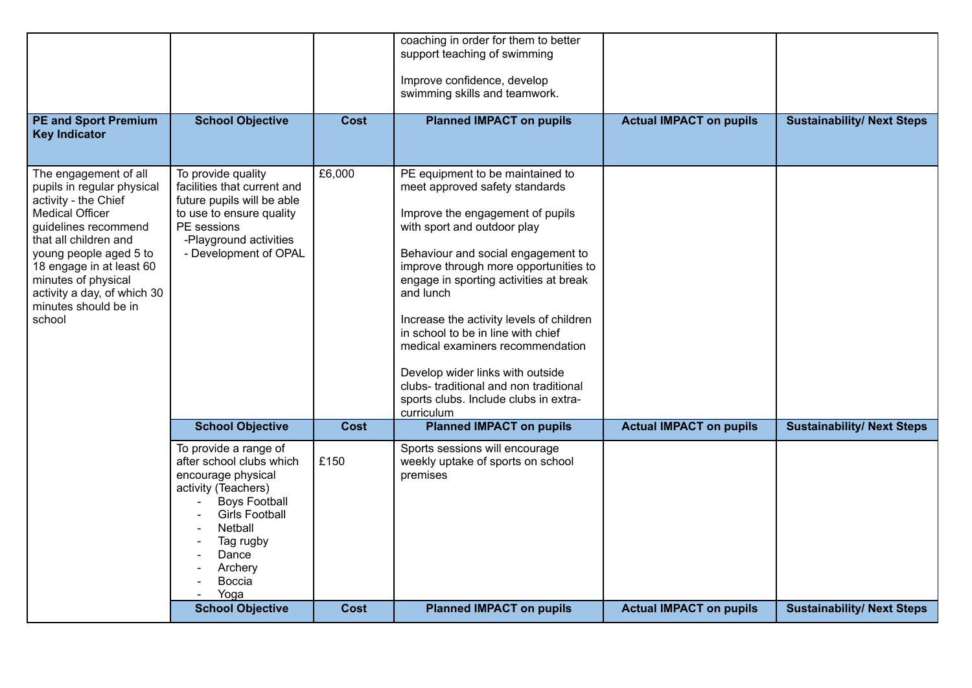|                                                                                                                                                                                                                                                                                               |                                                                                                                                                                                                               |             | coaching in order for them to better<br>support teaching of swimming                                                                                                                                                                                                                                                                                                                                                                                                            |                                |                                   |
|-----------------------------------------------------------------------------------------------------------------------------------------------------------------------------------------------------------------------------------------------------------------------------------------------|---------------------------------------------------------------------------------------------------------------------------------------------------------------------------------------------------------------|-------------|---------------------------------------------------------------------------------------------------------------------------------------------------------------------------------------------------------------------------------------------------------------------------------------------------------------------------------------------------------------------------------------------------------------------------------------------------------------------------------|--------------------------------|-----------------------------------|
|                                                                                                                                                                                                                                                                                               |                                                                                                                                                                                                               |             |                                                                                                                                                                                                                                                                                                                                                                                                                                                                                 |                                |                                   |
|                                                                                                                                                                                                                                                                                               |                                                                                                                                                                                                               |             | Improve confidence, develop<br>swimming skills and teamwork.                                                                                                                                                                                                                                                                                                                                                                                                                    |                                |                                   |
|                                                                                                                                                                                                                                                                                               |                                                                                                                                                                                                               |             |                                                                                                                                                                                                                                                                                                                                                                                                                                                                                 |                                |                                   |
| <b>PE and Sport Premium</b><br><b>Key Indicator</b>                                                                                                                                                                                                                                           | <b>School Objective</b>                                                                                                                                                                                       | Cost        | <b>Planned IMPACT on pupils</b>                                                                                                                                                                                                                                                                                                                                                                                                                                                 | <b>Actual IMPACT on pupils</b> | <b>Sustainability/ Next Steps</b> |
|                                                                                                                                                                                                                                                                                               |                                                                                                                                                                                                               |             |                                                                                                                                                                                                                                                                                                                                                                                                                                                                                 |                                |                                   |
| The engagement of all<br>pupils in regular physical<br>activity - the Chief<br>Medical Officer<br>guidelines recommend<br>that all children and<br>young people aged 5 to<br>18 engage in at least 60<br>minutes of physical<br>activity a day, of which 30<br>minutes should be in<br>school | To provide quality<br>facilities that current and<br>future pupils will be able<br>to use to ensure quality<br>PE sessions<br>-Playground activities<br>- Development of OPAL                                 | £6,000      | PE equipment to be maintained to<br>meet approved safety standards<br>Improve the engagement of pupils<br>with sport and outdoor play<br>Behaviour and social engagement to<br>improve through more opportunities to<br>engage in sporting activities at break<br>and lunch<br>Increase the activity levels of children<br>in school to be in line with chief<br>medical examiners recommendation<br>Develop wider links with outside<br>clubs- traditional and non traditional |                                |                                   |
|                                                                                                                                                                                                                                                                                               |                                                                                                                                                                                                               |             | sports clubs. Include clubs in extra-<br>curriculum                                                                                                                                                                                                                                                                                                                                                                                                                             |                                |                                   |
|                                                                                                                                                                                                                                                                                               | <b>School Objective</b>                                                                                                                                                                                       | <b>Cost</b> | <b>Planned IMPACT on pupils</b>                                                                                                                                                                                                                                                                                                                                                                                                                                                 | <b>Actual IMPACT on pupils</b> | <b>Sustainability/ Next Steps</b> |
|                                                                                                                                                                                                                                                                                               | To provide a range of<br>after school clubs which<br>encourage physical<br>activity (Teachers)<br><b>Boys Football</b><br><b>Girls Football</b><br>Netball<br>Tag rugby<br>Dance<br>Archery<br>Boccia<br>Yoga | £150        | Sports sessions will encourage<br>weekly uptake of sports on school<br>premises                                                                                                                                                                                                                                                                                                                                                                                                 |                                |                                   |
|                                                                                                                                                                                                                                                                                               | <b>School Objective</b>                                                                                                                                                                                       | Cost        | <b>Planned IMPACT on pupils</b>                                                                                                                                                                                                                                                                                                                                                                                                                                                 | <b>Actual IMPACT on pupils</b> | <b>Sustainability/ Next Steps</b> |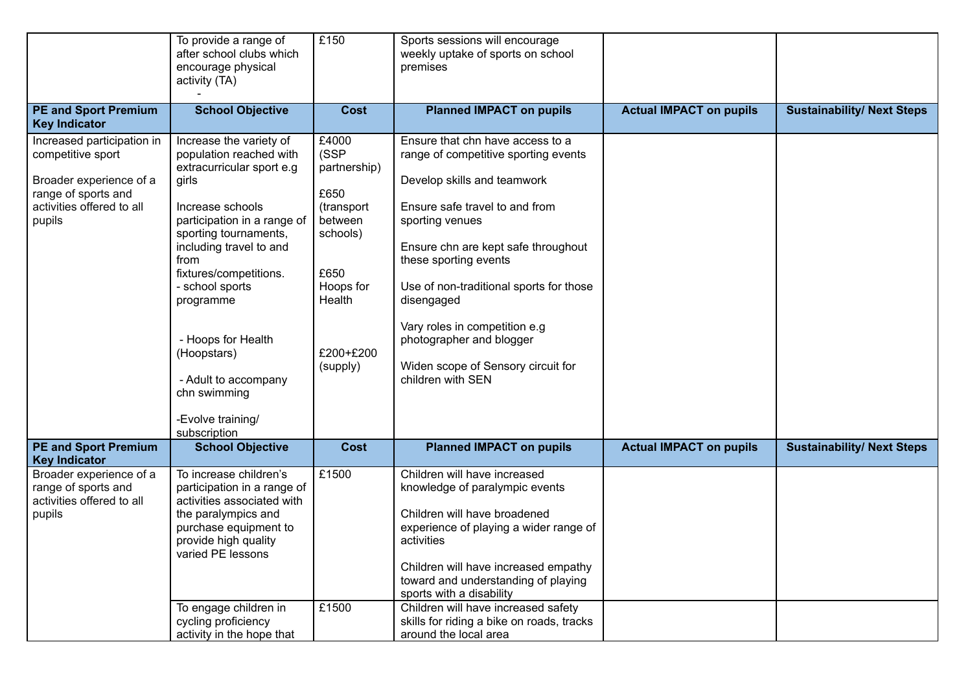|                                                                                                                                          | To provide a range of<br>after school clubs which<br>encourage physical<br>activity (TA)                                                                                                                                                                                                                                                                                            | £150                                                                                                                               | Sports sessions will encourage<br>weekly uptake of sports on school<br>premises                                                                                                                                                                                                                                                                                                                               |                                |                                   |
|------------------------------------------------------------------------------------------------------------------------------------------|-------------------------------------------------------------------------------------------------------------------------------------------------------------------------------------------------------------------------------------------------------------------------------------------------------------------------------------------------------------------------------------|------------------------------------------------------------------------------------------------------------------------------------|---------------------------------------------------------------------------------------------------------------------------------------------------------------------------------------------------------------------------------------------------------------------------------------------------------------------------------------------------------------------------------------------------------------|--------------------------------|-----------------------------------|
| <b>PE and Sport Premium</b><br><b>Key Indicator</b>                                                                                      | <b>School Objective</b>                                                                                                                                                                                                                                                                                                                                                             | <b>Cost</b>                                                                                                                        | <b>Planned IMPACT on pupils</b>                                                                                                                                                                                                                                                                                                                                                                               | <b>Actual IMPACT on pupils</b> | <b>Sustainability/ Next Steps</b> |
| Increased participation in<br>competitive sport<br>Broader experience of a<br>range of sports and<br>activities offered to all<br>pupils | Increase the variety of<br>population reached with<br>extracurricular sport e.g<br>girls<br>Increase schools<br>participation in a range of<br>sporting tournaments,<br>including travel to and<br>from<br>fixtures/competitions.<br>- school sports<br>programme<br>- Hoops for Health<br>(Hoopstars)<br>- Adult to accompany<br>chn swimming<br>-Evolve training/<br>subscription | £4000<br>(SSP<br>partnership)<br>£650<br>(transport<br>between<br>schools)<br>£650<br>Hoops for<br>Health<br>£200+£200<br>(supply) | Ensure that chn have access to a<br>range of competitive sporting events<br>Develop skills and teamwork<br>Ensure safe travel to and from<br>sporting venues<br>Ensure chn are kept safe throughout<br>these sporting events<br>Use of non-traditional sports for those<br>disengaged<br>Vary roles in competition e.g<br>photographer and blogger<br>Widen scope of Sensory circuit for<br>children with SEN |                                |                                   |
| <b>PE and Sport Premium</b><br><b>Key Indicator</b>                                                                                      | <b>School Objective</b>                                                                                                                                                                                                                                                                                                                                                             | <b>Cost</b>                                                                                                                        | <b>Planned IMPACT on pupils</b>                                                                                                                                                                                                                                                                                                                                                                               | <b>Actual IMPACT on pupils</b> | <b>Sustainability/ Next Steps</b> |
| Broader experience of a<br>range of sports and<br>activities offered to all<br>pupils                                                    | To increase children's<br>participation in a range of<br>activities associated with<br>the paralympics and<br>purchase equipment to<br>provide high quality<br>varied PE lessons<br>To engage children in                                                                                                                                                                           | £1500<br>£1500                                                                                                                     | Children will have increased<br>knowledge of paralympic events<br>Children will have broadened<br>experience of playing a wider range of<br>activities<br>Children will have increased empathy<br>toward and understanding of playing<br>sports with a disability<br>Children will have increased safety                                                                                                      |                                |                                   |
|                                                                                                                                          | cycling proficiency<br>activity in the hope that                                                                                                                                                                                                                                                                                                                                    |                                                                                                                                    | skills for riding a bike on roads, tracks<br>around the local area                                                                                                                                                                                                                                                                                                                                            |                                |                                   |